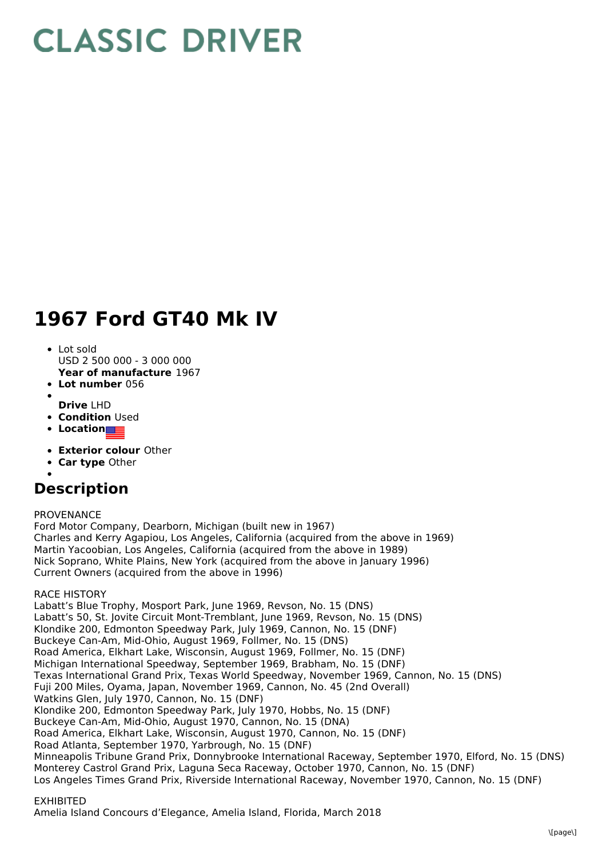# **CLASSIC DRIVER**

## **1967 Ford GT40 Mk IV**

#### • Lot sold

- USD 2 500 000 3 000 000
- **Year of manufacture** 1967
- **Lot number** 056
- **Drive** LHD
- **Condition Used**
- **Location**
- **Exterior colour** Other
- **Car type** Other
- 

### **Description**

#### PROVENANCE

Ford Motor Company, Dearborn, Michigan (built new in 1967) Charles and Kerry Agapiou, Los Angeles, California (acquired from the above in 1969) Martin Yacoobian, Los Angeles, California (acquired from the above in 1989) Nick Soprano, White Plains, New York (acquired from the above in January 1996) Current Owners (acquired from the above in 1996)

RACE HISTORY

Labatt's Blue Trophy, Mosport Park, June 1969, Revson, No. 15 (DNS) Labatt's 50, St. Jovite Circuit Mont-Tremblant, June 1969, Revson, No. 15 (DNS) Klondike 200, Edmonton Speedway Park, July 1969, Cannon, No. 15 (DNF) Buckeye Can-Am, Mid-Ohio, August 1969, Follmer, No. 15 (DNS) Road America, Elkhart Lake, Wisconsin, August 1969, Follmer, No. 15 (DNF) Michigan International Speedway, September 1969, Brabham, No. 15 (DNF) Texas International Grand Prix, Texas World Speedway, November 1969, Cannon, No. 15 (DNS) Fuji 200 Miles, Oyama, Japan, November 1969, Cannon, No. 45 (2nd Overall) Watkins Glen, July 1970, Cannon, No. 15 (DNF) Klondike 200, Edmonton Speedway Park, July 1970, Hobbs, No. 15 (DNF) Buckeye Can-Am, Mid-Ohio, August 1970, Cannon, No. 15 (DNA) Road America, Elkhart Lake, Wisconsin, August 1970, Cannon, No. 15 (DNF) Road Atlanta, September 1970, Yarbrough, No. 15 (DNF) Minneapolis Tribune Grand Prix, Donnybrooke International Raceway, September 1970, Elford, No. 15 (DNS) Monterey Castrol Grand Prix, Laguna Seca Raceway, October 1970, Cannon, No. 15 (DNF) Los Angeles Times Grand Prix, Riverside International Raceway, November 1970, Cannon, No. 15 (DNF)

#### EXHIBITED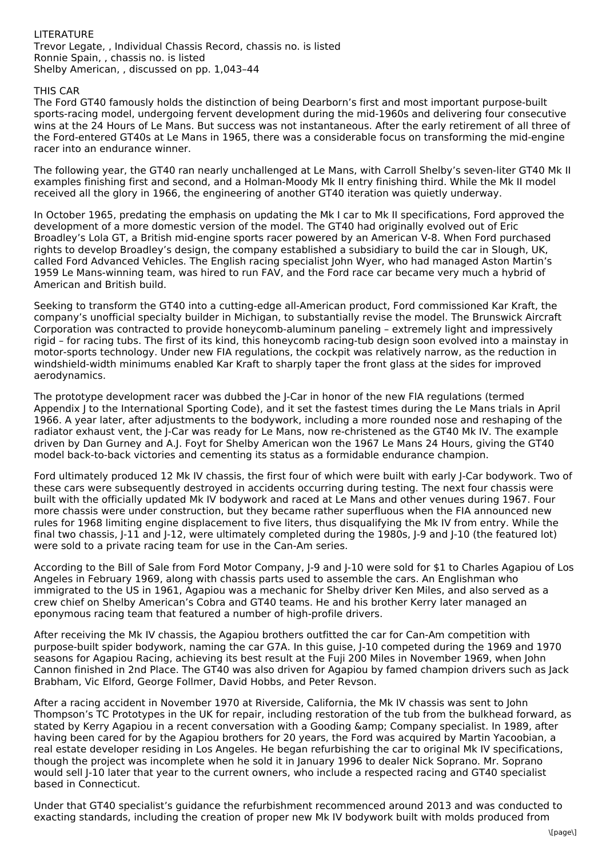#### LITERATURE Trevor Legate, , Individual Chassis Record, chassis no. is listed Ronnie Spain, , chassis no. is listed Shelby American, , discussed on pp. 1,043–44

#### THIS CAR

The Ford GT40 famously holds the distinction of being Dearborn's first and most important purpose-built sports-racing model, undergoing fervent development during the mid-1960s and delivering four consecutive wins at the 24 Hours of Le Mans. But success was not instantaneous. After the early retirement of all three of the Ford-entered GT40s at Le Mans in 1965, there was a considerable focus on transforming the mid-engine racer into an endurance winner.

The following year, the GT40 ran nearly unchallenged at Le Mans, with Carroll Shelby's seven-liter GT40 Mk II examples finishing first and second, and a Holman-Moody Mk II entry finishing third. While the Mk II model received all the glory in 1966, the engineering of another GT40 iteration was quietly underway.

In October 1965, predating the emphasis on updating the Mk I car to Mk II specifications, Ford approved the development of a more domestic version of the model. The GT40 had originally evolved out of Eric Broadley's Lola GT, a British mid-engine sports racer powered by an American V-8. When Ford purchased rights to develop Broadley's design, the company established a subsidiary to build the car in Slough, UK, called Ford Advanced Vehicles. The English racing specialist John Wyer, who had managed Aston Martin's 1959 Le Mans-winning team, was hired to run FAV, and the Ford race car became very much a hybrid of American and British build.

Seeking to transform the GT40 into a cutting-edge all-American product, Ford commissioned Kar Kraft, the company's unofficial specialty builder in Michigan, to substantially revise the model. The Brunswick Aircraft Corporation was contracted to provide honeycomb-aluminum paneling – extremely light and impressively rigid – for racing tubs. The first of its kind, this honeycomb racing-tub design soon evolved into a mainstay in motor-sports technology. Under new FIA regulations, the cockpit was relatively narrow, as the reduction in windshield-width minimums enabled Kar Kraft to sharply taper the front glass at the sides for improved aerodynamics.

The prototype development racer was dubbed the J-Car in honor of the new FIA regulations (termed Appendix J to the International Sporting Code), and it set the fastest times during the Le Mans trials in April 1966. A year later, after adjustments to the bodywork, including a more rounded nose and reshaping of the radiator exhaust vent, the J-Car was ready for Le Mans, now re-christened as the GT40 Mk IV. The example driven by Dan Gurney and A.J. Foyt for Shelby American won the 1967 Le Mans 24 Hours, giving the GT40 model back-to-back victories and cementing its status as a formidable endurance champion.

Ford ultimately produced 12 Mk IV chassis, the first four of which were built with early J-Car bodywork. Two of these cars were subsequently destroyed in accidents occurring during testing. The next four chassis were built with the officially updated Mk IV bodywork and raced at Le Mans and other venues during 1967. Four more chassis were under construction, but they became rather superfluous when the FIA announced new rules for 1968 limiting engine displacement to five liters, thus disqualifying the Mk IV from entry. While the final two chassis, J-11 and J-12, were ultimately completed during the 1980s, J-9 and J-10 (the featured lot) were sold to a private racing team for use in the Can-Am series.

According to the Bill of Sale from Ford Motor Company, J-9 and J-10 were sold for \$1 to Charles Agapiou of Los Angeles in February 1969, along with chassis parts used to assemble the cars. An Englishman who immigrated to the US in 1961, Agapiou was a mechanic for Shelby driver Ken Miles, and also served as a crew chief on Shelby American's Cobra and GT40 teams. He and his brother Kerry later managed an eponymous racing team that featured a number of high-profile drivers.

After receiving the Mk IV chassis, the Agapiou brothers outfitted the car for Can-Am competition with purpose-built spider bodywork, naming the car G7A. In this guise, J-10 competed during the 1969 and 1970 seasons for Agapiou Racing, achieving its best result at the Fuji 200 Miles in November 1969, when John Cannon finished in 2nd Place. The GT40 was also driven for Agapiou by famed champion drivers such as Jack Brabham, Vic Elford, George Follmer, David Hobbs, and Peter Revson.

After a racing accident in November 1970 at Riverside, California, the Mk IV chassis was sent to John Thompson's TC Prototypes in the UK for repair, including restoration of the tub from the bulkhead forward, as stated by Kerry Agapiou in a recent conversation with a Gooding & amp; Company specialist. In 1989, after having been cared for by the Agapiou brothers for 20 years, the Ford was acquired by Martin Yacoobian, a real estate developer residing in Los Angeles. He began refurbishing the car to original Mk IV specifications, though the project was incomplete when he sold it in January 1996 to dealer Nick Soprano. Mr. Soprano would sell J-10 later that year to the current owners, who include a respected racing and GT40 specialist based in Connecticut.

Under that GT40 specialist's guidance the refurbishment recommenced around 2013 and was conducted to exacting standards, including the creation of proper new Mk IV bodywork built with molds produced from